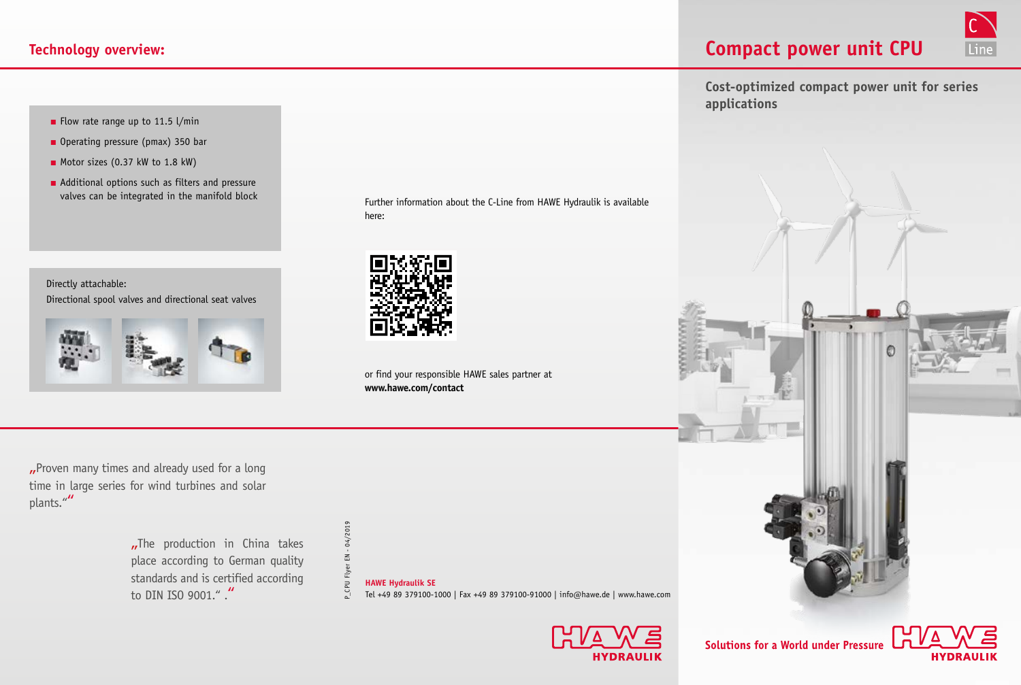### **Technology overview:**

- Flow rate range up to 11.5 l/min
- Operating pressure (pmax) 350 bar ■ Motor sizes (0.37 kW to 1.8 kW)
- Additional options such as filters and pressure
- valves can be integrated in the manifold block

Further information about the C-Line from HAWE Hydraulik is available here:





or find your responsible HAWE sales partner at **www.hawe.com/contact**

"Proven many times and already used for a long time in large series for wind turbines and solar plants.""

> $n$ The production in China takes place according to German quality standards and is certified according standards and is certified according<br>to DIN ISO 9001." **The SEARCE SEARCH SEARCH SEARCH SEARCH SEARCH SEARCH SEARCH SEARCH SEARCH SEARCH SEARCH SE**

P\_CPU Flyer EN - 04/2019

 $-04/2019$ 

Tel +49 89 379100-1000 | Fax +49 89 379100-91000 | info@hawe.de | www.hawe.com





**Cost-optimized compact power unit for series applications**